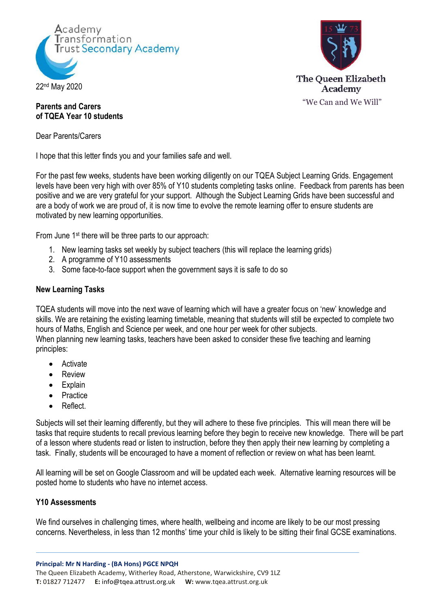



## **Parents and Carers of TQEA Year 10 students**

Dear Parents/Carers

I hope that this letter finds you and your families safe and well.

For the past few weeks, students have been working diligently on our TQEA Subject Learning Grids. Engagement levels have been very high with over 85% of Y10 students completing tasks online. Feedback from parents has been positive and we are very grateful for your support. Although the Subject Learning Grids have been successful and are a body of work we are proud of, it is now time to evolve the remote learning offer to ensure students are motivated by new learning opportunities.

From June 1st there will be three parts to our approach:

- 1. New learning tasks set weekly by subject teachers (this will replace the learning grids)
- 2. A programme of Y10 assessments
- 3. Some face-to-face support when the government says it is safe to do so

## **New Learning Tasks**

TQEA students will move into the next wave of learning which will have a greater focus on 'new' knowledge and skills. We are retaining the existing learning timetable, meaning that students will still be expected to complete two hours of Maths, English and Science per week, and one hour per week for other subjects. When planning new learning tasks, teachers have been asked to consider these five teaching and learning principles:

- Activate
- Review
- Explain
- Practice
- Reflect

Subjects will set their learning differently, but they will adhere to these five principles. This will mean there will be tasks that require students to recall previous learning before they begin to receive new knowledge. There will be part of a lesson where students read or listen to instruction, before they then apply their new learning by completing a task. Finally, students will be encouraged to have a moment of reflection or review on what has been learnt.

All learning will be set on Google Classroom and will be updated each week. Alternative learning resources will be posted home to students who have no internet access.

## **Y10 Assessments**

We find ourselves in challenging times, where health, wellbeing and income are likely to be our most pressing concerns. Nevertheless, in less than 12 months' time your child is likely to be sitting their final GCSE examinations.